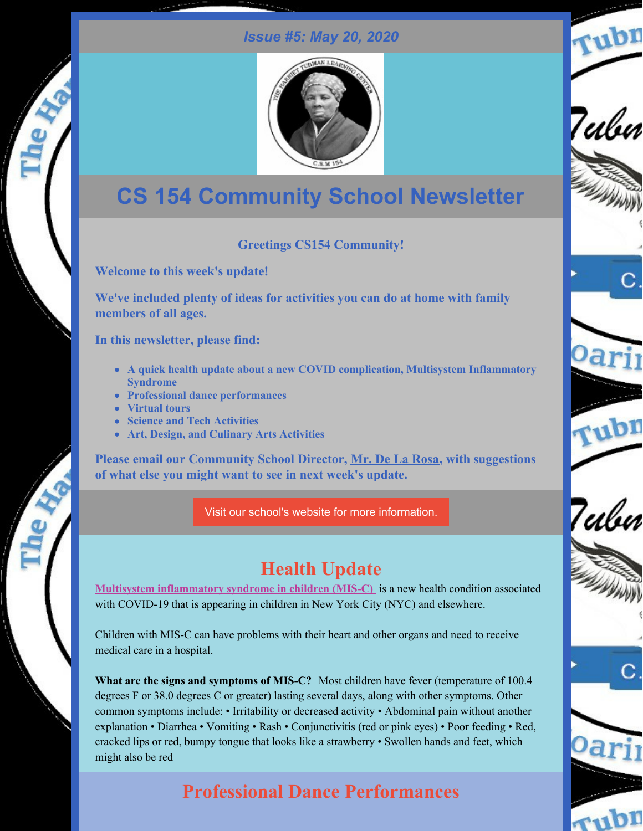#### *Issue #5: May 20, 2020*

rubn

Tubn

Teılur



# **CS 154 Community School Newsletter**

#### **Greetings CS154 Community!**

**Welcome to this week's update!**

**We've included plenty of ideas for activities you can do at home with family members of all ages.**

**In this newsletter, please find:**

- **A quick health update about a new COVID complication, Multisystem Inflammatory Syndrome**
- **Professional dance performances**
- **Virtual tours**
- **Science and Tech Activities**
- **Art, Design, and Culinary Arts Activities**

**Please email our Community School Director, Mr. De La [Rosa,](mailto:ad3327@tc.columbia.edu) with suggestions of what else you might want to see in next week's update.**

Visit our school's website for more [information.](http://ps154.com)

# **Health Update**

**Multisystem [inflammatory](https://www1.nyc.gov/assets/doh/downloads/pdf/imm/covid-19-pmis.pdf) syndrome in children (MIS-C)** is a new health condition associated with COVID-19 that is appearing in children in New York City (NYC) and elsewhere.

Children with MIS-C can have problems with their heart and other organs and need to receive medical care in a hospital.

**What are the signs and symptoms of MIS-C?** Most children have fever (temperature of 100.4 degrees F or 38.0 degrees C or greater) lasting several days, along with other symptoms. Other common symptoms include: • Irritability or decreased activity • Abdominal pain without another explanation • Diarrhea • Vomiting • Rash • Conjunctivitis (red or pink eyes) • Poor feeding • Red, cracked lips or red, bumpy tongue that looks like a strawberry • Swollen hands and feet, which might also be red

# **Professional Dance Performances**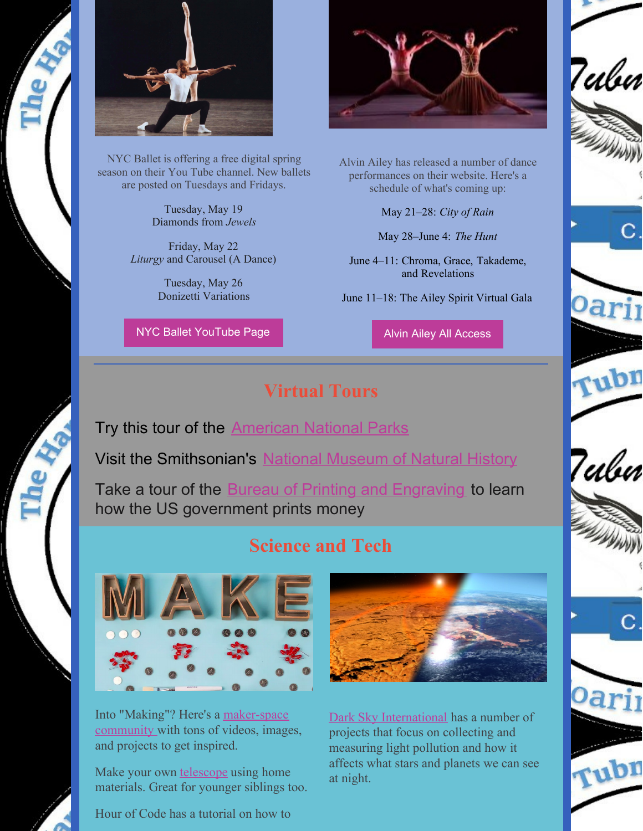

NYC Ballet is offering a free digital spring season on their You Tube channel. New ballets are posted on Tuesdays and Fridays.

Tuesday, May 19 Diamonds from *Jewels*

Friday, May 22 *Liturgy* and Carousel (A Dance)

> Tuesday, May 26 Donizetti Variations

NYC Ballet [YouTube](https://www.youtube.com/user/newyorkcityballet) Page



Alvin Ailey has released a number of dance performances on their website. Here's a schedule of what's coming up:

May 21–28: *City of [Rain](https://www.alvinailey.org/performances/repertory/city-rain)*

May 28–June 4: *The [Hunt](https://www.alvinailey.org/performances/repertory/hunt)*

June 4–11: [Chroma](https://www.alvinailey.org/performances/repertory/chroma), [Grace](https://www.alvinailey.org/performances/repertory/grace), [Takademe](https://www.alvinailey.org/performances/repertory/takademe), and [Revelations](https://www.alvinailey.org/performances/repertory/revelations)

June 11–18: The Ailey Spirit [Virtual](https://www.alvinailey.org/support/ailey-spirit-gala) Gala

Alvin Ailey All [Access](https://www.alvinailey.org/performances-tickets/ailey-all-access)

### **Virtual Tours**

Try this tour of the **[American](https://artsandculture.withgoogle.com/en-us/national-parks-service/welcome) National Parks** 

Visit the Smithsonian's National [Museum](https://naturalhistory.si.edu/visit/virtual-tour) of Natural History

Take a tour of the **Bureau of Printing and [Engraving](https://www.youtube.com/watch?v=-IBHbe-t-X4)** to learn how the US government prints money

## **Science and Tech**



Into "Making"? Here's a [maker-space](https://makezine.com/2020/04/24/make-projects-is-finally-here-for-you-to-collaborate-and-share-your-passion/) community with tons of videos, images, and projects to get inspired.

Make your own [telescope](https://kids.nationalgeographic.com/explore/nature/make-a-telescope/) using home materials. Great for younger siblings too.

Hour of Code has a tutorial on how to



Dark Sky [International](https://scistarter.org/darksky) has a number of projects that focus on collecting and measuring light pollution and how it affects what stars and planets we can see at night.